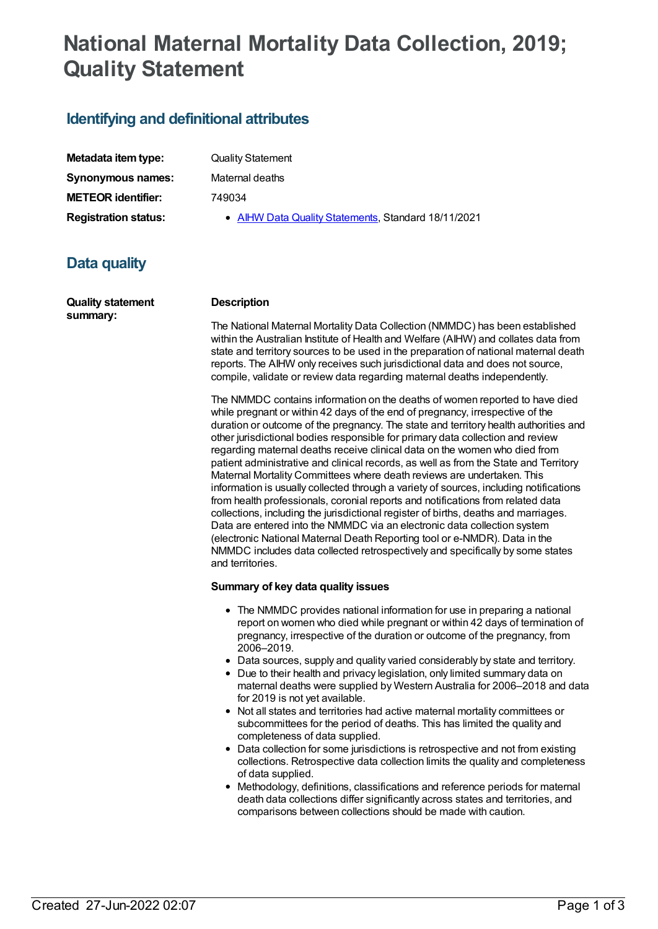## **National Maternal Mortality Data Collection, 2019; Quality Statement**

## **Identifying and definitional attributes**

| Metadata item type:         |
|-----------------------------|
| <b>Synonymous names:</b>    |
| <b>METEOR identifier:</b>   |
| <b>Registration status:</b> |

**Quality Statement Maternal deaths** 

**METEOR identifier:** 749034

**• AIHW Data Quality [Statements](https://meteor.aihw.gov.au/RegistrationAuthority/5), Standard 18/11/2021** 

## **Data quality**

| <b>Quality statement</b><br>summary: | <b>Description</b>                                                                                                                                                                                                                                                                                                                                                                                                                                                                                                                                                                                                                                                                                                                                                                                                                                                                                                                                                                                                                                                                                                        |  |
|--------------------------------------|---------------------------------------------------------------------------------------------------------------------------------------------------------------------------------------------------------------------------------------------------------------------------------------------------------------------------------------------------------------------------------------------------------------------------------------------------------------------------------------------------------------------------------------------------------------------------------------------------------------------------------------------------------------------------------------------------------------------------------------------------------------------------------------------------------------------------------------------------------------------------------------------------------------------------------------------------------------------------------------------------------------------------------------------------------------------------------------------------------------------------|--|
|                                      | The National Maternal Mortality Data Collection (NMMDC) has been established<br>within the Australian Institute of Health and Welfare (AIHW) and collates data from<br>state and territory sources to be used in the preparation of national maternal death<br>reports. The AIHW only receives such jurisdictional data and does not source,<br>compile, validate or review data regarding maternal deaths independently.                                                                                                                                                                                                                                                                                                                                                                                                                                                                                                                                                                                                                                                                                                 |  |
|                                      | The NMMDC contains information on the deaths of women reported to have died<br>while pregnant or within 42 days of the end of pregnancy, irrespective of the<br>duration or outcome of the pregnancy. The state and territory health authorities and<br>other jurisdictional bodies responsible for primary data collection and review<br>regarding maternal deaths receive clinical data on the women who died from<br>patient administrative and clinical records, as well as from the State and Territory<br>Maternal Mortality Committees where death reviews are undertaken. This<br>information is usually collected through a variety of sources, including notifications<br>from health professionals, coronial reports and notifications from related data<br>collections, including the jurisdictional register of births, deaths and marriages.<br>Data are entered into the NMMDC via an electronic data collection system<br>(electronic National Maternal Death Reporting tool or e-NMDR). Data in the<br>NMMDC includes data collected retrospectively and specifically by some states<br>and territories. |  |
|                                      | Summary of key data quality issues                                                                                                                                                                                                                                                                                                                                                                                                                                                                                                                                                                                                                                                                                                                                                                                                                                                                                                                                                                                                                                                                                        |  |
|                                      | • The NMMDC provides national information for use in preparing a national<br>report on women who died while pregnant or within 42 days of termination of<br>pregnancy, irrespective of the duration or outcome of the pregnancy, from<br>2006-2019.<br>• Data sources, supply and quality varied considerably by state and territory.<br>• Due to their health and privacy legislation, only limited summary data on<br>maternal deaths were supplied by Western Australia for 2006-2018 and data<br>for 2019 is not yet available.<br>• Not all states and territories had active maternal mortality committees or<br>subcommittees for the period of deaths. This has limited the quality and<br>completeness of data supplied.                                                                                                                                                                                                                                                                                                                                                                                         |  |
|                                      | • Data collection for some jurisdictions is retrospective and not from existing<br>collections. Retrospective data collection limits the quality and completeness<br>of data supplied.<br>• Methodology, definitions, classifications and reference periods for maternal<br>death data collections differ significantly across states and territories, and<br>comparisons between collections should be made with caution.                                                                                                                                                                                                                                                                                                                                                                                                                                                                                                                                                                                                                                                                                                |  |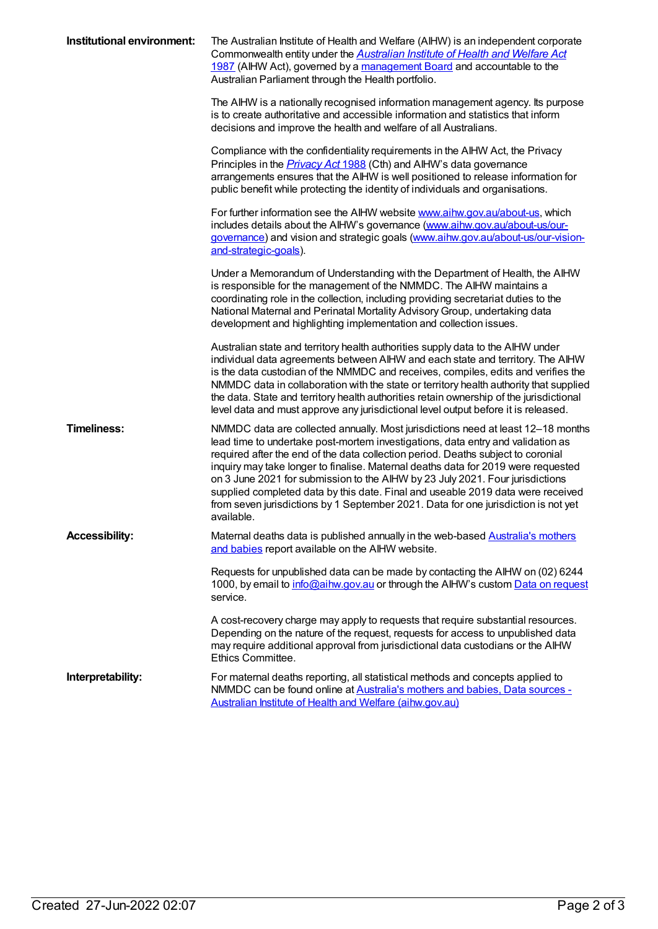| Institutional environment: | The Australian Institute of Health and Welfare (AIHW) is an independent corporate<br>Commonwealth entity under the <b>Australian Institute of Health and Welfare Act</b><br>1987 (AIHW Act), governed by a management Board and accountable to the<br>Australian Parliament through the Health portfolio.                                                                                                                                                                                                                                                                                                            |
|----------------------------|----------------------------------------------------------------------------------------------------------------------------------------------------------------------------------------------------------------------------------------------------------------------------------------------------------------------------------------------------------------------------------------------------------------------------------------------------------------------------------------------------------------------------------------------------------------------------------------------------------------------|
|                            | The AIHW is a nationally recognised information management agency. Its purpose<br>is to create authoritative and accessible information and statistics that inform<br>decisions and improve the health and welfare of all Australians.                                                                                                                                                                                                                                                                                                                                                                               |
|                            | Compliance with the confidentiality requirements in the AIHW Act, the Privacy<br>Principles in the <i>Privacy Act</i> 1988 (Cth) and AIHW's data governance<br>arrangements ensures that the AIHW is well positioned to release information for<br>public benefit while protecting the identity of individuals and organisations.                                                                                                                                                                                                                                                                                    |
|                            | For further information see the AIHW website www.aihw.gov.au/about-us, which<br>includes details about the AIHW's governance (www.aihw.gov.au/about-us/our-<br>governance) and vision and strategic goals (www.aihw.gov.au/about-us/our-vision-<br>and-strategic-goals).                                                                                                                                                                                                                                                                                                                                             |
|                            | Under a Memorandum of Understanding with the Department of Health, the AIHW<br>is responsible for the management of the NMMDC. The AIHW maintains a<br>coordinating role in the collection, including providing secretariat duties to the<br>National Maternal and Perinatal Mortality Advisory Group, undertaking data<br>development and highlighting implementation and collection issues.                                                                                                                                                                                                                        |
|                            | Australian state and territory health authorities supply data to the AIHW under<br>individual data agreements between AIHW and each state and territory. The AIHW<br>is the data custodian of the NMMDC and receives, compiles, edits and verifies the<br>NMMDC data in collaboration with the state or territory health authority that supplied<br>the data. State and territory health authorities retain ownership of the jurisdictional<br>level data and must approve any jurisdictional level output before it is released.                                                                                    |
| <b>Timeliness:</b>         | NMMDC data are collected annually. Most jurisdictions need at least 12-18 months<br>lead time to undertake post-mortem investigations, data entry and validation as<br>required after the end of the data collection period. Deaths subject to coronial<br>inquiry may take longer to finalise. Maternal deaths data for 2019 were requested<br>on 3 June 2021 for submission to the AIHW by 23 July 2021. Four jurisdictions<br>supplied completed data by this date. Final and useable 2019 data were received<br>from seven jurisdictions by 1 September 2021. Data for one jurisdiction is not yet<br>available. |
| <b>Accessibility:</b>      | Maternal deaths data is published annually in the web-based <b>Australia's mothers</b><br>and babies report available on the AIHW website.                                                                                                                                                                                                                                                                                                                                                                                                                                                                           |
|                            | Requests for unpublished data can be made by contacting the AIHW on (02) 6244<br>1000, by email to info@aihw.gov.au or through the AIHW's custom Data on request<br>service.                                                                                                                                                                                                                                                                                                                                                                                                                                         |
|                            | A cost-recovery charge may apply to requests that require substantial resources.<br>Depending on the nature of the request, requests for access to unpublished data<br>may require additional approval from jurisdictional data custodians or the AIHW<br>Ethics Committee.                                                                                                                                                                                                                                                                                                                                          |
| Interpretability:          | For maternal deaths reporting, all statistical methods and concepts applied to<br>NMMDC can be found online at Australia's mothers and babies, Data sources -<br>Australian Institute of Health and Welfare (aihw.gov.au)                                                                                                                                                                                                                                                                                                                                                                                            |